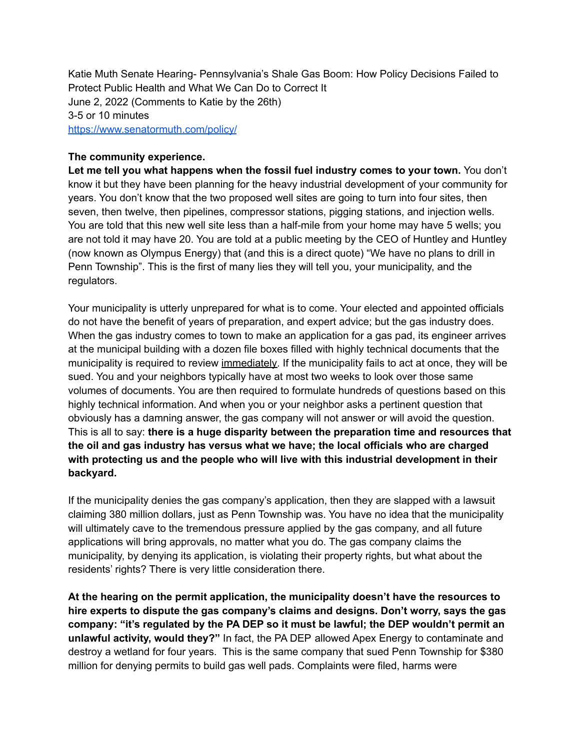Katie Muth Senate Hearing- Pennsylvania's Shale Gas Boom: How Policy Decisions Failed to Protect Public Health and What We Can Do to Correct It June 2, 2022 (Comments to Katie by the 26th) 3-5 or 10 minutes <https://www.senatormuth.com/policy/>

## **The community experience.**

**Let me tell you what happens when the fossil fuel industry comes to your town.** You don't know it but they have been planning for the heavy industrial development of your community for years. You don't know that the two proposed well sites are going to turn into four sites, then seven, then twelve, then pipelines, compressor stations, pigging stations, and injection wells. You are told that this new well site less than a half-mile from your home may have 5 wells; you are not told it may have 20. You are told at a public meeting by the CEO of Huntley and Huntley (now known as Olympus Energy) that (and this is a direct quote) "We have no plans to drill in Penn Township". This is the first of many lies they will tell you, your municipality, and the regulators.

Your municipality is utterly unprepared for what is to come. Your elected and appointed officials do not have the benefit of years of preparation, and expert advice; but the gas industry does. When the gas industry comes to town to make an application for a gas pad, its engineer arrives at the municipal building with a dozen file boxes filled with highly technical documents that the municipality is required to review immediately. If the municipality fails to act at once, they will be sued. You and your neighbors typically have at most two weeks to look over those same volumes of documents. You are then required to formulate hundreds of questions based on this highly technical information. And when you or your neighbor asks a pertinent question that obviously has a damning answer, the gas company will not answer or will avoid the question. This is all to say: **there is a huge disparity between the preparation time and resources that the oil and gas industry has versus what we have; the local officials who are charged with protecting us and the people who will live with this industrial development in their backyard.**

If the municipality denies the gas company's application, then they are slapped with a lawsuit claiming 380 million dollars, just as Penn Township was. You have no idea that the municipality will ultimately cave to the tremendous pressure applied by the gas company, and all future applications will bring approvals, no matter what you do. The gas company claims the municipality, by denying its application, is violating their property rights, but what about the residents' rights? There is very little consideration there.

**At the hearing on the permit application, the municipality doesn't have the resources to hire experts to dispute the gas company's claims and designs. Don't worry, says the gas company: "it's regulated by the PA DEP so it must be lawful; the DEP wouldn't permit an unlawful activity, would they?"** In fact, the PA DEP allowed Apex Energy to contaminate and destroy a wetland for four years. This is the same company that sued Penn Township for \$380 million for denying permits to build gas well pads. Complaints were filed, harms were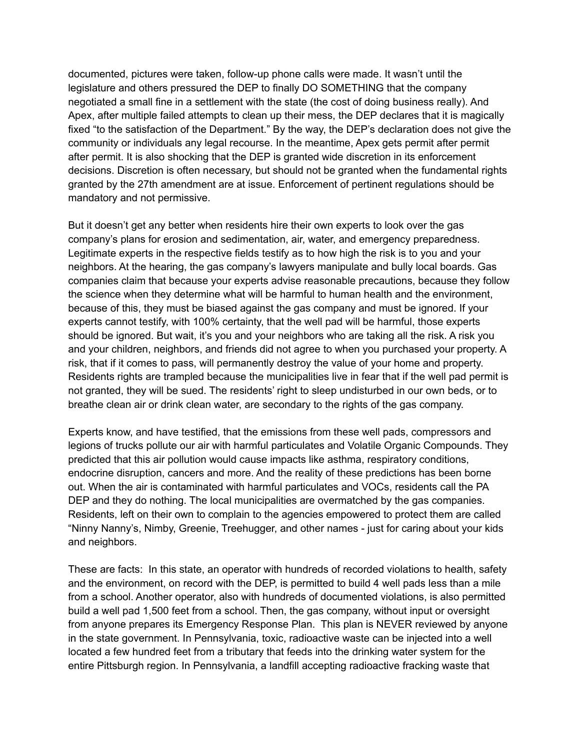documented, pictures were taken, follow-up phone calls were made. It wasn't until the legislature and others pressured the DEP to finally DO SOMETHING that the company negotiated a small fine in a settlement with the state (the cost of doing business really). And Apex, after multiple failed attempts to clean up their mess, the DEP declares that it is magically fixed "to the satisfaction of the Department." By the way, the DEP's declaration does not give the community or individuals any legal recourse. In the meantime, Apex gets permit after permit after permit. It is also shocking that the DEP is granted wide discretion in its enforcement decisions. Discretion is often necessary, but should not be granted when the fundamental rights granted by the 27th amendment are at issue. Enforcement of pertinent regulations should be mandatory and not permissive.

But it doesn't get any better when residents hire their own experts to look over the gas company's plans for erosion and sedimentation, air, water, and emergency preparedness. Legitimate experts in the respective fields testify as to how high the risk is to you and your neighbors. At the hearing, the gas company's lawyers manipulate and bully local boards. Gas companies claim that because your experts advise reasonable precautions, because they follow the science when they determine what will be harmful to human health and the environment, because of this, they must be biased against the gas company and must be ignored. If your experts cannot testify, with 100% certainty, that the well pad will be harmful, those experts should be ignored. But wait, it's you and your neighbors who are taking all the risk. A risk you and your children, neighbors, and friends did not agree to when you purchased your property. A risk, that if it comes to pass, will permanently destroy the value of your home and property. Residents rights are trampled because the municipalities live in fear that if the well pad permit is not granted, they will be sued. The residents' right to sleep undisturbed in our own beds, or to breathe clean air or drink clean water, are secondary to the rights of the gas company.

Experts know, and have testified, that the emissions from these well pads, compressors and legions of trucks pollute our air with harmful particulates and Volatile Organic Compounds. They predicted that this air pollution would cause impacts like asthma, respiratory conditions, endocrine disruption, cancers and more. And the reality of these predictions has been borne out. When the air is contaminated with harmful particulates and VOCs, residents call the PA DEP and they do nothing. The local municipalities are overmatched by the gas companies. Residents, left on their own to complain to the agencies empowered to protect them are called "Ninny Nanny's, Nimby, Greenie, Treehugger, and other names - just for caring about your kids and neighbors.

These are facts: In this state, an operator with hundreds of recorded violations to health, safety and the environment, on record with the DEP, is permitted to build 4 well pads less than a mile from a school. Another operator, also with hundreds of documented violations, is also permitted build a well pad 1,500 feet from a school. Then, the gas company, without input or oversight from anyone prepares its Emergency Response Plan. This plan is NEVER reviewed by anyone in the state government. In Pennsylvania, toxic, radioactive waste can be injected into a well located a few hundred feet from a tributary that feeds into the drinking water system for the entire Pittsburgh region. In Pennsylvania, a landfill accepting radioactive fracking waste that